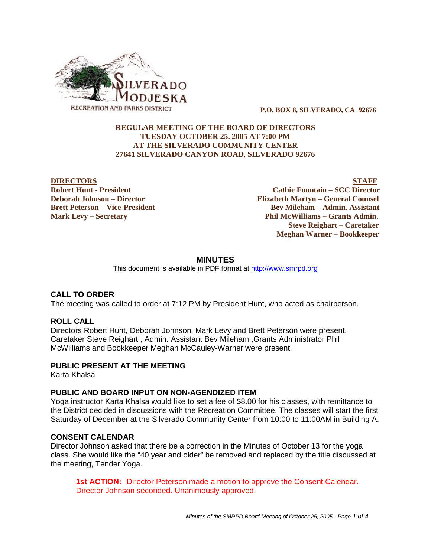

 **P.O. BOX 8, SILVERADO, CA 92676**

## **REGULAR MEETING OF THE BOARD OF DIRECTORS TUESDAY OCTOBER 25, 2005 AT 7:00 PM AT THE SILVERADO COMMUNITY CENTER 27641 SILVERADO CANYON ROAD, SILVERADO 92676**

**DIRECTORS STAFF Robert Hunt - President Cathie Fountain – SCC Director Deborah Johnson – Director Elizabeth Martyn – General Counsel Brett Peterson – Vice-President Electronic State Bev Mileham – Admin. Assistant Mark Levy – Secretary Phil McWilliams – Grants Admin. Steve Reighart – Caretaker Meghan Warner – Bookkeeper**

## **MINUTES**

This document is available in PDF format at http://www.smrpd.org

#### **CALL TO ORDER**

The meeting was called to order at 7:12 PM by President Hunt, who acted as chairperson.

#### **ROLL CALL**

Directors Robert Hunt, Deborah Johnson, Mark Levy and Brett Peterson were present. Caretaker Steve Reighart , Admin. Assistant Bev Mileham ,Grants Administrator Phil McWilliams and Bookkeeper Meghan McCauley-Warner were present.

#### **PUBLIC PRESENT AT THE MEETING**

Karta Khalsa

#### **PUBLIC AND BOARD INPUT ON NON-AGENDIZED ITEM**

Yoga instructor Karta Khalsa would like to set a fee of \$8.00 for his classes, with remittance to the District decided in discussions with the Recreation Committee. The classes will start the first Saturday of December at the Silverado Community Center from 10:00 to 11:00AM in Building A.

# **CONSENT CALENDAR**

Director Johnson asked that there be a correction in the Minutes of October 13 for the yoga class. She would like the "40 year and older" be removed and replaced by the title discussed at the meeting, Tender Yoga.

**1st ACTION:** Director Peterson made a motion to approve the Consent Calendar. Director Johnson seconded. Unanimously approved.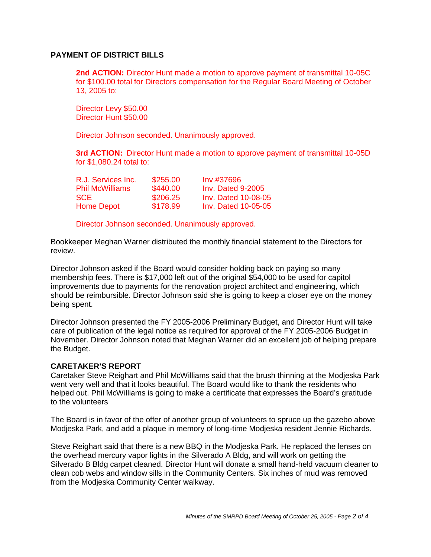## **PAYMENT OF DISTRICT BILLS**

**2nd ACTION:** Director Hunt made a motion to approve payment of transmittal 10-05C for \$100.00 total for Directors compensation for the Regular Board Meeting of October 13, 2005 to:

Director Levy \$50.00 Director Hunt \$50.00

Director Johnson seconded. Unanimously approved.

**3rd ACTION:** Director Hunt made a motion to approve payment of transmittal 10-05D for \$1,080.24 total to:

| R.J. Services Inc. | \$255.00 | Inv.#37696          |
|--------------------|----------|---------------------|
| Phil McWilliams    | \$440.00 | $Inv.$ Dated 9-2005 |
| SCE                | \$206.25 | Inv. Dated 10-08-05 |
| Home Depot         | \$178.99 | Inv. Dated 10-05-05 |

Director Johnson seconded. Unanimously approved.

Bookkeeper Meghan Warner distributed the monthly financial statement to the Directors for review.

Director Johnson asked if the Board would consider holding back on paying so many membership fees. There is \$17,000 left out of the original \$54,000 to be used for capitol improvements due to payments for the renovation project architect and engineering, which should be reimbursible. Director Johnson said she is going to keep a closer eye on the money being spent.

Director Johnson presented the FY 2005-2006 Preliminary Budget, and Director Hunt will take care of publication of the legal notice as required for approval of the FY 2005-2006 Budget in November. Director Johnson noted that Meghan Warner did an excellent job of helping prepare the Budget.

#### **CARETAKER'S REPORT**

Caretaker Steve Reighart and Phil McWilliams said that the brush thinning at the Modjeska Park went very well and that it looks beautiful. The Board would like to thank the residents who helped out. Phil McWilliams is going to make a certificate that expresses the Board's gratitude to the volunteers

The Board is in favor of the offer of another group of volunteers to spruce up the gazebo above Modjeska Park, and add a plaque in memory of long-time Modjeska resident Jennie Richards.

Steve Reighart said that there is a new BBQ in the Modjeska Park. He replaced the lenses on the overhead mercury vapor lights in the Silverado A Bldg, and will work on getting the Silverado B Bldg carpet cleaned. Director Hunt will donate a small hand-held vacuum cleaner to clean cob webs and window sills in the Community Centers. Six inches of mud was removed from the Modjeska Community Center walkway.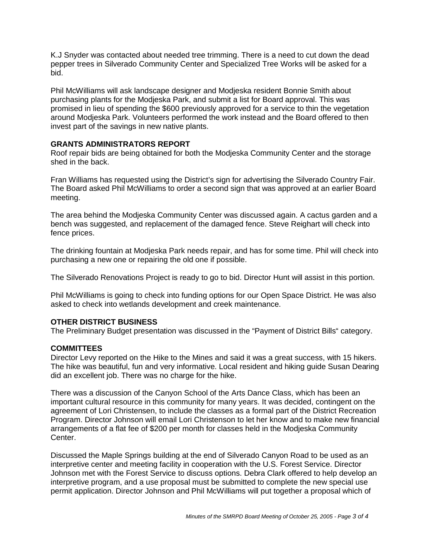K.J Snyder was contacted about needed tree trimming. There is a need to cut down the dead pepper trees in Silverado Community Center and Specialized Tree Works will be asked for a bid.

Phil McWilliams will ask landscape designer and Modjeska resident Bonnie Smith about purchasing plants for the Modjeska Park, and submit a list for Board approval. This was promised in lieu of spending the \$600 previously approved for a service to thin the vegetation around Modjeska Park. Volunteers performed the work instead and the Board offered to then invest part of the savings in new native plants.

## **GRANTS ADMINISTRATORS REPORT**

Roof repair bids are being obtained for both the Modjeska Community Center and the storage shed in the back.

Fran Williams has requested using the District's sign for advertising the Silverado Country Fair. The Board asked Phil McWilliams to order a second sign that was approved at an earlier Board meeting.

The area behind the Modjeska Community Center was discussed again. A cactus garden and a bench was suggested, and replacement of the damaged fence. Steve Reighart will check into fence prices.

The drinking fountain at Modjeska Park needs repair, and has for some time. Phil will check into purchasing a new one or repairing the old one if possible.

The Silverado Renovations Project is ready to go to bid. Director Hunt will assist in this portion.

Phil McWilliams is going to check into funding options for our Open Space District. He was also asked to check into wetlands development and creek maintenance.

# **OTHER DISTRICT BUSINESS**

The Preliminary Budget presentation was discussed in the "Payment of District Bills" category.

# **COMMITTEES**

Director Levy reported on the Hike to the Mines and said it was a great success, with 15 hikers. The hike was beautiful, fun and very informative. Local resident and hiking guide Susan Dearing did an excellent job. There was no charge for the hike.

There was a discussion of the Canyon School of the Arts Dance Class, which has been an important cultural resource in this community for many years. It was decided, contingent on the agreement of Lori Christensen, to include the classes as a formal part of the District Recreation Program. Director Johnson will email Lori Christenson to let her know and to make new financial arrangements of a flat fee of \$200 per month for classes held in the Modjeska Community Center.

Discussed the Maple Springs building at the end of Silverado Canyon Road to be used as an interpretive center and meeting facility in cooperation with the U.S. Forest Service. Director Johnson met with the Forest Service to discuss options. Debra Clark offered to help develop an interpretive program, and a use proposal must be submitted to complete the new special use permit application. Director Johnson and Phil McWilliams will put together a proposal which of